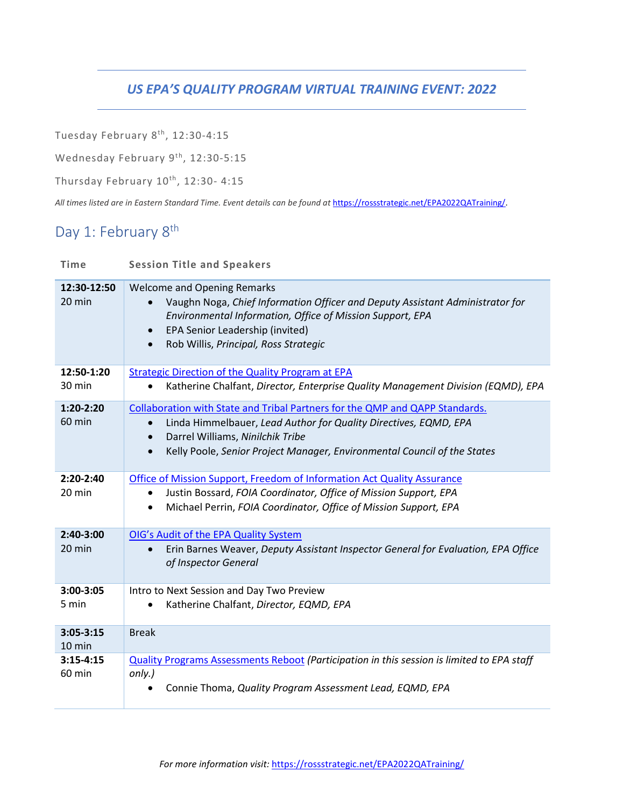### *US EPA'S QUALITY PROGRAM VIRTUAL TRAINING EVENT: 2022*

Tuesday February 8th, 12:30-4:15

Wednesday February 9<sup>th</sup>, 12:30-5:15

Thursday February  $10^{th}$ , 12:30- 4:15

*All times listed are in Eastern Standard Time. Event details can be found at* [https://rossstrategic.net/EPA2022QATraining/.](https://rossstrategic.net/EPA2022QATraining/)

## Day 1: February 8<sup>th</sup>

| <b>Time</b>             | <b>Session Title and Speakers</b>                                                                                                                                                                                                                                                          |
|-------------------------|--------------------------------------------------------------------------------------------------------------------------------------------------------------------------------------------------------------------------------------------------------------------------------------------|
| 12:30-12:50<br>20 min   | <b>Welcome and Opening Remarks</b><br>Vaughn Noga, Chief Information Officer and Deputy Assistant Administrator for<br>Environmental Information, Office of Mission Support, EPA<br>EPA Senior Leadership (invited)<br>$\bullet$<br>Rob Willis, Principal, Ross Strategic<br>$\bullet$     |
| 12:50-1:20<br>30 min    | <b>Strategic Direction of the Quality Program at EPA</b><br>Katherine Chalfant, Director, Enterprise Quality Management Division (EQMD), EPA                                                                                                                                               |
| 1:20-2:20<br>60 min     | Collaboration with State and Tribal Partners for the QMP and QAPP Standards.<br>Linda Himmelbauer, Lead Author for Quality Directives, EQMD, EPA<br>Darrel Williams, Ninilchik Tribe<br>$\bullet$<br>Kelly Poole, Senior Project Manager, Environmental Council of the States<br>$\bullet$ |
| 2:20-2:40<br>20 min     | Office of Mission Support, Freedom of Information Act Quality Assurance<br>Justin Bossard, FOIA Coordinator, Office of Mission Support, EPA<br>Michael Perrin, FOIA Coordinator, Office of Mission Support, EPA<br>$\bullet$                                                               |
| 2:40-3:00<br>20 min     | OIG's Audit of the EPA Quality System<br>Erin Barnes Weaver, Deputy Assistant Inspector General for Evaluation, EPA Office<br>$\bullet$<br>of Inspector General                                                                                                                            |
| 3:00-3:05<br>5 min      | Intro to Next Session and Day Two Preview<br>Katherine Chalfant, Director, EQMD, EPA                                                                                                                                                                                                       |
| $3:05 - 3:15$<br>10 min | <b>Break</b>                                                                                                                                                                                                                                                                               |
| $3:15 - 4:15$<br>60 min | Quality Programs Assessments Reboot (Participation in this session is limited to EPA staff<br>only.)<br>Connie Thoma, Quality Program Assessment Lead, EQMD, EPA                                                                                                                           |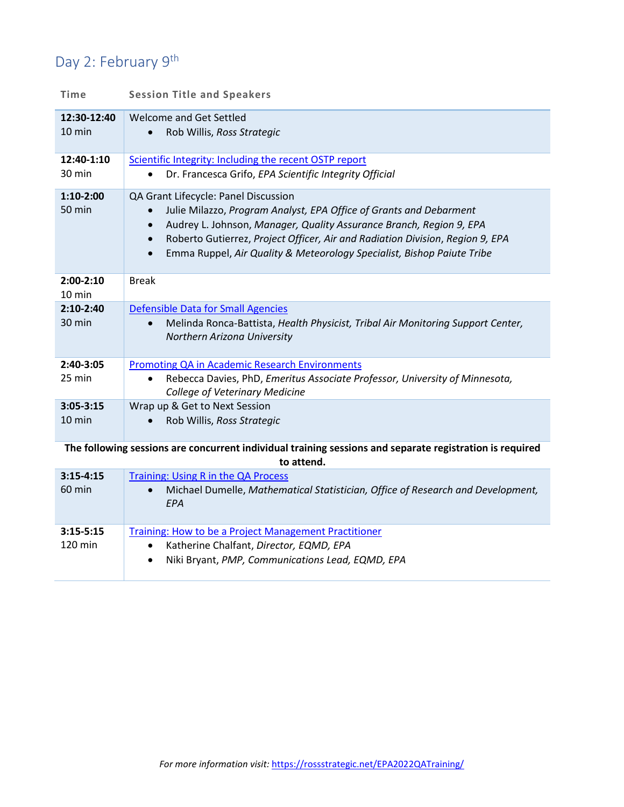# Day 2: February 9<sup>th</sup>

| Time                                                                                                                   | <b>Session Title and Speakers</b>                                                                                                                                                                                                                                                                                                                                                                |
|------------------------------------------------------------------------------------------------------------------------|--------------------------------------------------------------------------------------------------------------------------------------------------------------------------------------------------------------------------------------------------------------------------------------------------------------------------------------------------------------------------------------------------|
| 12:30-12:40<br>10 min                                                                                                  | Welcome and Get Settled<br>Rob Willis, Ross Strategic                                                                                                                                                                                                                                                                                                                                            |
| 12:40-1:10<br>30 min                                                                                                   | Scientific Integrity: Including the recent OSTP report<br>Dr. Francesca Grifo, EPA Scientific Integrity Official                                                                                                                                                                                                                                                                                 |
| $1:10-2:00$<br>50 min                                                                                                  | QA Grant Lifecycle: Panel Discussion<br>Julie Milazzo, Program Analyst, EPA Office of Grants and Debarment<br>$\bullet$<br>Audrey L. Johnson, Manager, Quality Assurance Branch, Region 9, EPA<br>$\bullet$<br>Roberto Gutierrez, Project Officer, Air and Radiation Division, Region 9, EPA<br>$\bullet$<br>Emma Ruppel, Air Quality & Meteorology Specialist, Bishop Paiute Tribe<br>$\bullet$ |
| $2:00-2:10$<br>10 min                                                                                                  | <b>Break</b>                                                                                                                                                                                                                                                                                                                                                                                     |
| $2:10-2:40$<br>30 min                                                                                                  | <b>Defensible Data for Small Agencies</b><br>Melinda Ronca-Battista, Health Physicist, Tribal Air Monitoring Support Center,<br>Northern Arizona University                                                                                                                                                                                                                                      |
| 2:40-3:05<br>25 min                                                                                                    | <b>Promoting QA in Academic Research Environments</b><br>Rebecca Davies, PhD, Emeritus Associate Professor, University of Minnesota,<br>$\bullet$<br><b>College of Veterinary Medicine</b>                                                                                                                                                                                                       |
| $3:05 - 3:15$<br>10 min                                                                                                | Wrap up & Get to Next Session<br>Rob Willis, Ross Strategic                                                                                                                                                                                                                                                                                                                                      |
| The following sessions are concurrent individual training sessions and separate registration is required<br>to attend. |                                                                                                                                                                                                                                                                                                                                                                                                  |
| $3:15-4:15$<br>60 min                                                                                                  | Training: Using R in the QA Process<br>Michael Dumelle, Mathematical Statistician, Office of Research and Development,<br>$\bullet$<br>EPA                                                                                                                                                                                                                                                       |
| $3:15 - 5:15$                                                                                                          | <b>Training: How to be a Project Management Practitioner</b>                                                                                                                                                                                                                                                                                                                                     |

- 120 min • Katherine Chalfant, *Director, EQMD, EPA*
	- Niki Bryant, *PMP, Communications Lead, EQMD, EPA*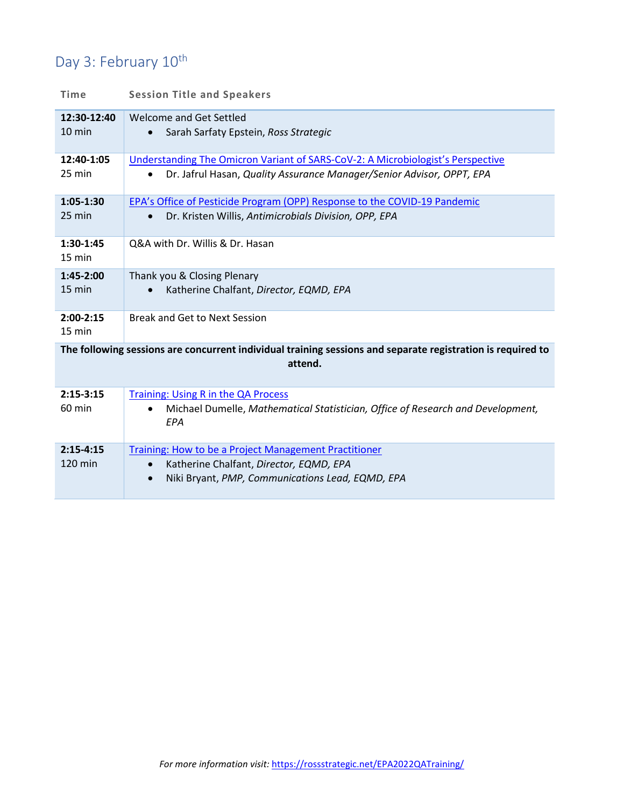## Day 3: February 10<sup>th</sup>

| <b>Time</b>                                                                                                            | <b>Session Title and Speakers</b>                                                                                                                                 |  |
|------------------------------------------------------------------------------------------------------------------------|-------------------------------------------------------------------------------------------------------------------------------------------------------------------|--|
| 12:30-12:40<br>$10 \text{ min}$                                                                                        | Welcome and Get Settled<br>Sarah Sarfaty Epstein, Ross Strategic                                                                                                  |  |
| 12:40-1:05<br>25 min                                                                                                   | Understanding The Omicron Variant of SARS-CoV-2: A Microbiologist's Perspective<br>Dr. Jafrul Hasan, Quality Assurance Manager/Senior Advisor, OPPT, EPA          |  |
| 1:05-1:30<br>25 min                                                                                                    | EPA's Office of Pesticide Program (OPP) Response to the COVID-19 Pandemic<br>Dr. Kristen Willis, Antimicrobials Division, OPP, EPA<br>$\bullet$                   |  |
| 1:30-1:45<br>15 min                                                                                                    | Q&A with Dr. Willis & Dr. Hasan                                                                                                                                   |  |
| 1:45-2:00<br>15 min                                                                                                    | Thank you & Closing Plenary<br>Katherine Chalfant, Director, EQMD, EPA                                                                                            |  |
| $2:00-2:15$<br>15 min                                                                                                  | <b>Break and Get to Next Session</b>                                                                                                                              |  |
| The following sessions are concurrent individual training sessions and separate registration is required to<br>attend. |                                                                                                                                                                   |  |
| $2:15-3:15$<br>60 min                                                                                                  | Training: Using R in the QA Process<br>Michael Dumelle, Mathematical Statistician, Office of Research and Development,<br>EPA                                     |  |
| $2:15-4:15$<br>120 min                                                                                                 | Training: How to be a Project Management Practitioner<br>Katherine Chalfant, Director, EQMD, EPA<br>Niki Bryant, PMP, Communications Lead, EQMD, EPA<br>$\bullet$ |  |